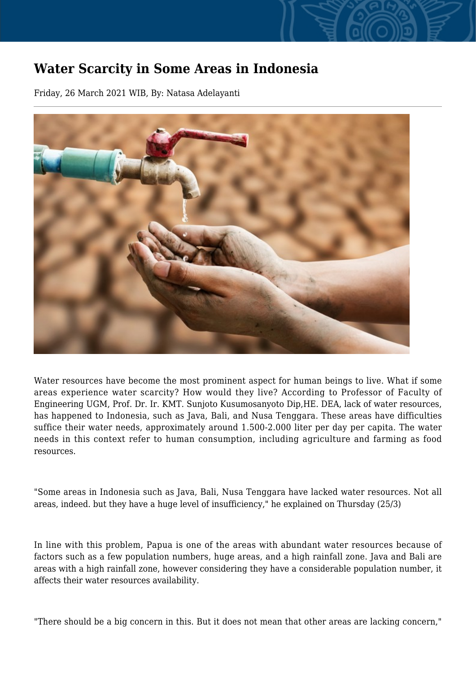## **Water Scarcity in Some Areas in Indonesia**

Friday, 26 March 2021 WIB, By: Natasa Adelayanti



Water resources have become the most prominent aspect for human beings to live. What if some areas experience water scarcity? How would they live? According to Professor of Faculty of Engineering UGM, Prof. Dr. Ir. KMT. Sunjoto Kusumosanyoto Dip,HE. DEA, lack of water resources, has happened to Indonesia, such as Java, Bali, and Nusa Tenggara. These areas have difficulties suffice their water needs, approximately around 1.500-2.000 liter per day per capita. The water needs in this context refer to human consumption, including agriculture and farming as food resources.

"Some areas in Indonesia such as Java, Bali, Nusa Tenggara have lacked water resources. Not all areas, indeed. but they have a huge level of insufficiency," he explained on Thursday (25/3)

In line with this problem, Papua is one of the areas with abundant water resources because of factors such as a few population numbers, huge areas, and a high rainfall zone. Java and Bali are areas with a high rainfall zone, however considering they have a considerable population number, it affects their water resources availability.

"There should be a big concern in this. But it does not mean that other areas are lacking concern,"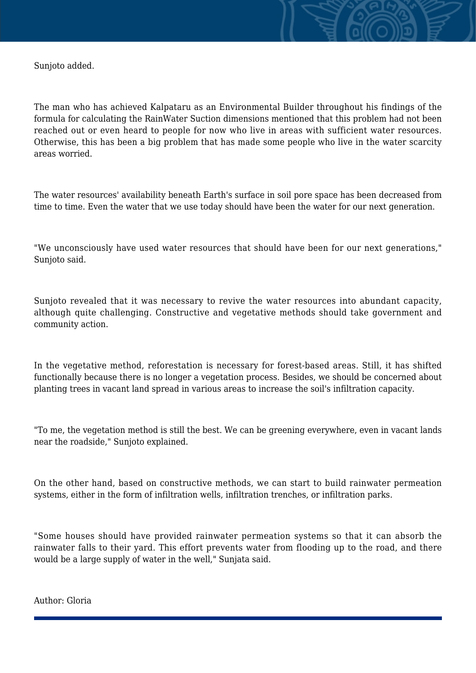Sunjoto added.

The man who has achieved Kalpataru as an Environmental Builder throughout his findings of the formula for calculating the RainWater Suction dimensions mentioned that this problem had not been reached out or even heard to people for now who live in areas with sufficient water resources. Otherwise, this has been a big problem that has made some people who live in the water scarcity areas worried.

The water resources' availability beneath Earth's surface in soil pore space has been decreased from time to time. Even the water that we use today should have been the water for our next generation.

"We unconsciously have used water resources that should have been for our next generations," Sunjoto said.

Sunjoto revealed that it was necessary to revive the water resources into abundant capacity, although quite challenging. Constructive and vegetative methods should take government and community action.

In the vegetative method, reforestation is necessary for forest-based areas. Still, it has shifted functionally because there is no longer a vegetation process. Besides, we should be concerned about planting trees in vacant land spread in various areas to increase the soil's infiltration capacity.

"To me, the vegetation method is still the best. We can be greening everywhere, even in vacant lands near the roadside," Sunjoto explained.

On the other hand, based on constructive methods, we can start to build rainwater permeation systems, either in the form of infiltration wells, infiltration trenches, or infiltration parks.

"Some houses should have provided rainwater permeation systems so that it can absorb the rainwater falls to their yard. This effort prevents water from flooding up to the road, and there would be a large supply of water in the well," Sunjata said.

Author: Gloria